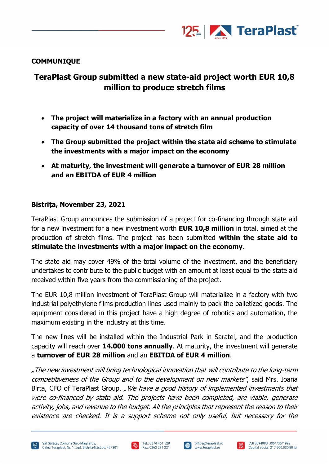

# **COMMUNIQUE**

# **TeraPlast Group submitted a new state-aid project worth EUR 10,8 million to produce stretch films**

- **The project will materialize in a factory with an annual production capacity of over 14 thousand tons of stretch film**
- **The Group submitted the project within the state aid scheme to stimulate the investments with a major impact on the economy**
- **At maturity, the investment will generate a turnover of EUR 28 million and an EBITDA of EUR 4 million**

## **Bistrița, November 23, 2021**

TeraPlast Group announces the submission of a project for co-financing through state aid for a new investment for a new investment worth **EUR 10,8 million** in total, aimed at the production of stretch films. The project has been submitted **within the state aid to stimulate the investments with a major impact on the economy**.

The state aid may cover 49% of the total volume of the investment, and the beneficiary undertakes to contribute to the public budget with an amount at least equal to the state aid received within five years from the commissioning of the project.

The EUR 10,8 million investment of TeraPlast Group will materialize in a factory with two industrial polyethylene films production lines used mainly to pack the palletized goods. The equipment considered in this project have a high degree of robotics and automation, the maximum existing in the industry at this time.

The new lines will be installed within the Industrial Park in Saratel, and the production capacity will reach over **14.000 tons annually**. At maturity, the investment will generate a **turnover of EUR 28 million** and an **EBITDA of EUR 4 million**.

"The new investment will bring technological innovation that will contribute to the long-term competitiveness of the Group and to the development on new markets", said Mrs. Ioana Birta, CFO of TeraPlast Group. "We have a good history of implemented investments that were co-financed by state aid. The projects have been completed, are viable, generate activity, jobs, and revenue to the budget. All the principles that represent the reason to their existence are checked. It is a support scheme not only useful, but necessary for the